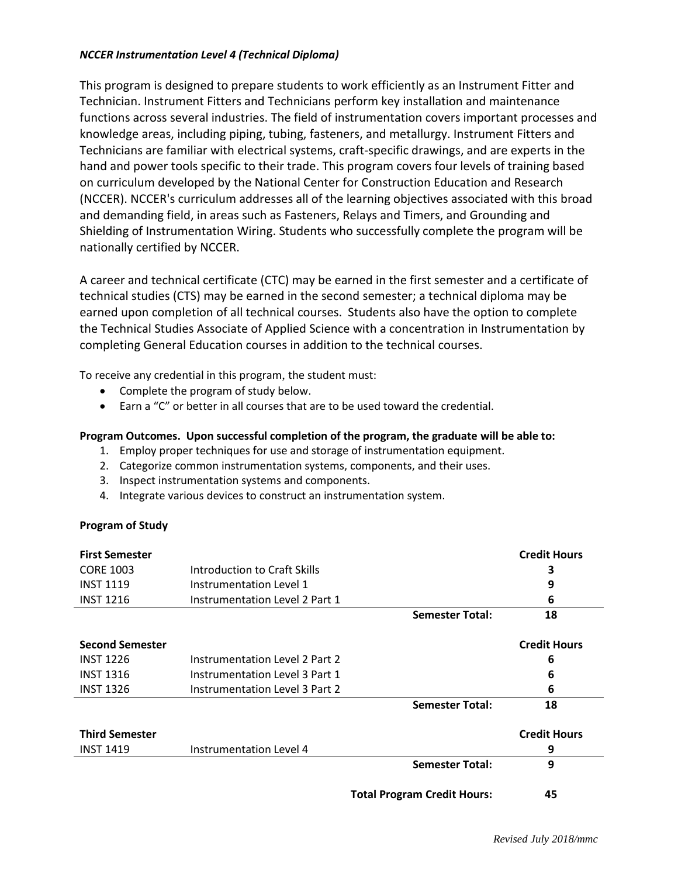## *NCCER Instrumentation Level 4 (Technical Diploma)*

This program is designed to prepare students to work efficiently as an Instrument Fitter and Technician. Instrument Fitters and Technicians perform key installation and maintenance functions across several industries. The field of instrumentation covers important processes and knowledge areas, including piping, tubing, fasteners, and metallurgy. Instrument Fitters and Technicians are familiar with electrical systems, craft-specific drawings, and are experts in the hand and power tools specific to their trade. This program covers four levels of training based on curriculum developed by the National Center for Construction Education and Research (NCCER). NCCER's curriculum addresses all of the learning objectives associated with this broad and demanding field, in areas such as Fasteners, Relays and Timers, and Grounding and Shielding of Instrumentation Wiring. Students who successfully complete the program will be nationally certified by NCCER.

A career and technical certificate (CTC) may be earned in the first semester and a certificate of technical studies (CTS) may be earned in the second semester; a technical diploma may be earned upon completion of all technical courses. Students also have the option to complete the Technical Studies Associate of Applied Science with a concentration in Instrumentation by completing General Education courses in addition to the technical courses.

To receive any credential in this program, the student must:

- Complete the program of study below.
- Earn a "C" or better in all courses that are to be used toward the credential.

## **Program Outcomes. Upon successful completion of the program, the graduate will be able to:**

- 1. Employ proper techniques for use and storage of instrumentation equipment.
- 2. Categorize common instrumentation systems, components, and their uses.
- 3. Inspect instrumentation systems and components.
- 4. Integrate various devices to construct an instrumentation system.

## **Program of Study**

| <b>First Semester</b>  |                                       |                                    | <b>Credit Hours</b> |
|------------------------|---------------------------------------|------------------------------------|---------------------|
| <b>CORE 1003</b>       | Introduction to Craft Skills          |                                    | 3                   |
| <b>INST 1119</b>       | Instrumentation Level 1               |                                    | 9                   |
| <b>INST 1216</b>       | Instrumentation Level 2 Part 1        |                                    | 6                   |
|                        |                                       | <b>Semester Total:</b>             | 18                  |
| <b>Second Semester</b> |                                       |                                    | <b>Credit Hours</b> |
| <b>INST 1226</b>       | <b>Instrumentation Level 2 Part 2</b> |                                    | 6                   |
| <b>INST 1316</b>       | Instrumentation Level 3 Part 1        |                                    | 6                   |
| <b>INST 1326</b>       | Instrumentation Level 3 Part 2        |                                    | 6                   |
|                        |                                       | <b>Semester Total:</b>             | 18                  |
| <b>Third Semester</b>  |                                       |                                    | <b>Credit Hours</b> |
| <b>INST 1419</b>       | <b>Instrumentation Level 4</b>        |                                    | 9                   |
|                        |                                       | <b>Semester Total:</b>             | 9                   |
|                        |                                       | <b>Total Program Credit Hours:</b> | 45                  |